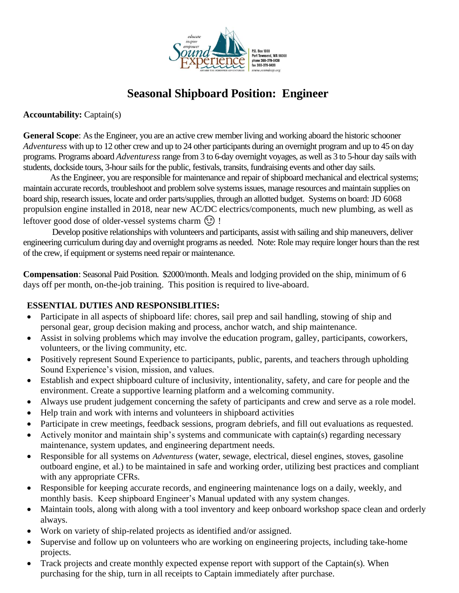

# **Seasonal Shipboard Position: Engineer**

**Accountability:** Captain(s)

**General Scope**: As the Engineer, you are an active crew member living and working aboard the historic schooner *Adventuress* with up to 12 other crew and up to 24 other participants during an overnight program and up to 45 on day programs. Programs aboard *Adventuress* range from 3 to 6-day overnight voyages, as well as 3 to 5-hour day sails with students, dockside tours, 3-hour sails for the public, festivals, transits, fundraising events and other day sails.

As the Engineer, you are responsible for maintenance and repair of shipboard mechanical and electrical systems; maintain accurate records, troubleshoot and problem solve systems issues, manage resources and maintain supplies on board ship, research issues, locate and order parts/supplies, through an allotted budget. Systems on board: JD 6068 propulsion engine installed in 2018, near new AC/DC electrics/components, much new plumbing, as well as leftover good dose of older-vessel systems charm  $\circled{?}$  !

Develop positive relationships with volunteers and participants, assist with sailing and ship maneuvers, deliver engineering curriculum during day and overnight programs as needed. Note: Role may require longer hours than the rest of the crew, if equipment or systems need repair or maintenance.

**Compensation**: Seasonal Paid Position. \$2000/month. Meals and lodging provided on the ship, minimum of 6 days off per month, on-the-job training. This position is required to live-aboard.

## **ESSENTIAL DUTIES AND RESPONSIBLITIES:**

- Participate in all aspects of shipboard life: chores, sail prep and sail handling, stowing of ship and personal gear, group decision making and process, anchor watch, and ship maintenance.
- Assist in solving problems which may involve the education program, galley, participants, coworkers, volunteers, or the living community, etc.
- Positively represent Sound Experience to participants, public, parents, and teachers through upholding Sound Experience's vision, mission, and values.
- Establish and expect shipboard culture of inclusivity, intentionality, safety, and care for people and the environment. Create a supportive learning platform and a welcoming community.
- Always use prudent judgement concerning the safety of participants and crew and serve as a role model.
- Help train and work with interns and volunteers in shipboard activities
- Participate in crew meetings, feedback sessions, program debriefs, and fill out evaluations as requested.
- Actively monitor and maintain ship's systems and communicate with captain(s) regarding necessary maintenance, system updates, and engineering department needs.
- Responsible for all systems on *Adventuress* (water, sewage, electrical, diesel engines, stoves, gasoline outboard engine, et al.) to be maintained in safe and working order, utilizing best practices and compliant with any appropriate CFRs.
- Responsible for keeping accurate records, and engineering maintenance logs on a daily, weekly, and monthly basis. Keep shipboard Engineer's Manual updated with any system changes.
- Maintain tools, along with along with a tool inventory and keep onboard workshop space clean and orderly always.
- Work on variety of ship-related projects as identified and/or assigned.
- Supervise and follow up on volunteers who are working on engineering projects, including take-home projects.
- Track projects and create monthly expected expense report with support of the Captain(s). When purchasing for the ship, turn in all receipts to Captain immediately after purchase.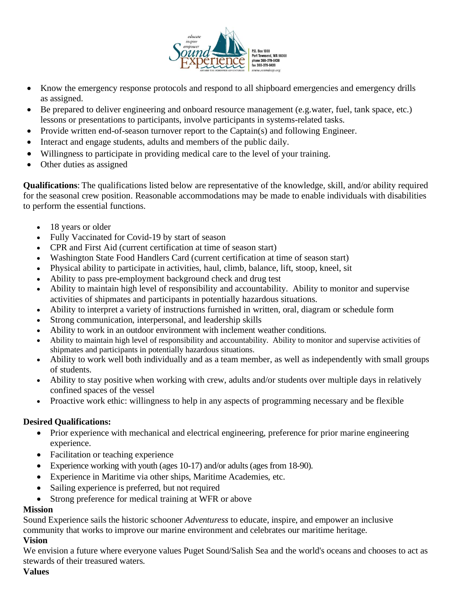

- Know the emergency response protocols and respond to all shipboard emergencies and emergency drills as assigned.
- Be prepared to deliver engineering and onboard resource management (e.g.water, fuel, tank space, etc.) lessons or presentations to participants, involve participants in systems-related tasks.
- Provide written end-of-season turnover report to the Captain(s) and following Engineer.
- Interact and engage students, adults and members of the public daily.
- Willingness to participate in providing medical care to the level of your training.
- Other duties as assigned

**Qualifications**: The qualifications listed below are representative of the knowledge, skill, and/or ability required for the seasonal crew position. Reasonable accommodations may be made to enable individuals with disabilities to perform the essential functions.

- 18 years or older
- Fully Vaccinated for Covid-19 by start of season
- CPR and First Aid (current certification at time of season start)
- Washington State Food Handlers Card (current certification at time of season start)
- Physical ability to participate in activities, haul, climb, balance, lift, stoop, kneel, sit
- Ability to pass pre-employment background check and drug test
- Ability to maintain high level of responsibility and accountability. Ability to monitor and supervise activities of shipmates and participants in potentially hazardous situations.
- Ability to interpret a variety of instructions furnished in written, oral, diagram or schedule form
- Strong communication, interpersonal, and leadership skills
- Ability to work in an outdoor environment with inclement weather conditions.
- Ability to maintain high level of responsibility and accountability. Ability to monitor and supervise activities of shipmates and participants in potentially hazardous situations.
- Ability to work well both individually and as a team member, as well as independently with small groups of students.
- Ability to stay positive when working with crew, adults and/or students over multiple days in relatively confined spaces of the vessel
- Proactive work ethic: willingness to help in any aspects of programming necessary and be flexible

### **Desired Qualifications:**

- Prior experience with mechanical and electrical engineering, preference for prior marine engineering experience.
- Facilitation or teaching experience
- Experience working with youth (ages 10-17) and/or adults (ages from 18-90).
- Experience in Maritime via other ships, Maritime Academies, etc.
- Sailing experience is preferred, but not required
- Strong preference for medical training at WFR or above

### **Mission**

Sound Experience sails the historic schooner *Adventuress* to educate, inspire, and empower an inclusive community that works to improve our marine environment and celebrates our maritime heritage.

### **Vision**

We envision a future where everyone values Puget Sound/Salish Sea and the world's oceans and chooses to act as stewards of their treasured waters.

### **Values**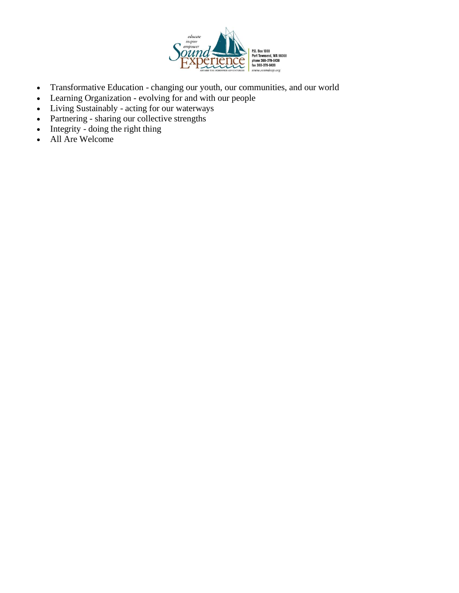

- Transformative Education changing our youth, our communities, and our world
- Learning Organization evolving for and with our people
- Living Sustainably acting for our waterways
- Partnering sharing our collective strengths
- Integrity doing the right thing
- All Are Welcome